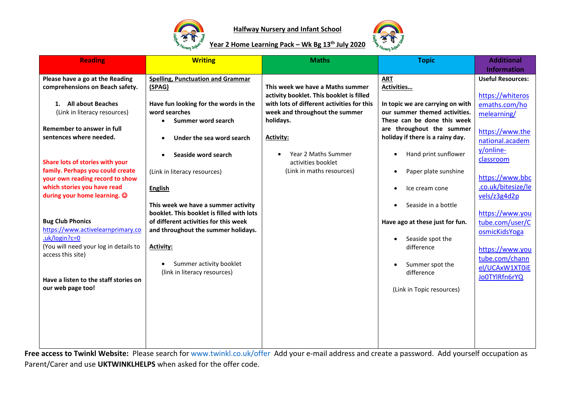



#### **Year 2 Home Learning Pack – Wk Bg 13th July 2020**

| <b>Reading</b>                                                                                                                                                                     | <b>Writing</b>                                                                                                                                                                                                                                  | <b>Maths</b>                               | <b>Topic</b>                                                                                                                                           | <b>Additional</b><br><b>Information</b>                                                                                                     |
|------------------------------------------------------------------------------------------------------------------------------------------------------------------------------------|-------------------------------------------------------------------------------------------------------------------------------------------------------------------------------------------------------------------------------------------------|--------------------------------------------|--------------------------------------------------------------------------------------------------------------------------------------------------------|---------------------------------------------------------------------------------------------------------------------------------------------|
| Please have a go at the Reading                                                                                                                                                    | <b>Spelling, Punctuation and Grammar</b>                                                                                                                                                                                                        |                                            | <b>ART</b>                                                                                                                                             | <b>Useful Resources:</b>                                                                                                                    |
| comprehensions on Beach safety.                                                                                                                                                    | (SPAG)                                                                                                                                                                                                                                          | This week we have a Maths summer           | Activities                                                                                                                                             |                                                                                                                                             |
|                                                                                                                                                                                    |                                                                                                                                                                                                                                                 | activity booklet. This booklet is filled   |                                                                                                                                                        | https://whiteros                                                                                                                            |
| 1. All about Beaches                                                                                                                                                               | Have fun looking for the words in the                                                                                                                                                                                                           | with lots of different activities for this | In topic we are carrying on with                                                                                                                       | emaths.com/ho                                                                                                                               |
| (Link in literacy resources)                                                                                                                                                       | word searches                                                                                                                                                                                                                                   | week and throughout the summer             | our summer themed activities.                                                                                                                          | melearning/                                                                                                                                 |
|                                                                                                                                                                                    | Summer word search<br>$\bullet$                                                                                                                                                                                                                 | holidays.                                  | These can be done this week                                                                                                                            |                                                                                                                                             |
| Remember to answer in full                                                                                                                                                         |                                                                                                                                                                                                                                                 |                                            | are throughout the summer                                                                                                                              | https://www.the                                                                                                                             |
| sentences where needed.                                                                                                                                                            | Under the sea word search                                                                                                                                                                                                                       | <b>Activity:</b>                           | holiday if there is a rainy day.                                                                                                                       | national.academ                                                                                                                             |
|                                                                                                                                                                                    |                                                                                                                                                                                                                                                 |                                            |                                                                                                                                                        | y/online-                                                                                                                                   |
|                                                                                                                                                                                    | Seaside word search                                                                                                                                                                                                                             | Year 2 Maths Summer                        | Hand print sunflower                                                                                                                                   |                                                                                                                                             |
| Share lots of stories with your                                                                                                                                                    |                                                                                                                                                                                                                                                 | activities booklet                         |                                                                                                                                                        | classroom                                                                                                                                   |
| family. Perhaps you could create                                                                                                                                                   | (Link in literacy resources)                                                                                                                                                                                                                    | (Link in maths resources)                  | Paper plate sunshine                                                                                                                                   |                                                                                                                                             |
| your own reading record to show                                                                                                                                                    |                                                                                                                                                                                                                                                 |                                            |                                                                                                                                                        | https://www.bbc                                                                                                                             |
| which stories you have read                                                                                                                                                        | <b>English</b>                                                                                                                                                                                                                                  |                                            | Ice cream cone                                                                                                                                         | .co.uk/bitesize/le                                                                                                                          |
|                                                                                                                                                                                    |                                                                                                                                                                                                                                                 |                                            |                                                                                                                                                        |                                                                                                                                             |
|                                                                                                                                                                                    |                                                                                                                                                                                                                                                 |                                            |                                                                                                                                                        |                                                                                                                                             |
|                                                                                                                                                                                    |                                                                                                                                                                                                                                                 |                                            |                                                                                                                                                        |                                                                                                                                             |
|                                                                                                                                                                                    |                                                                                                                                                                                                                                                 |                                            |                                                                                                                                                        |                                                                                                                                             |
|                                                                                                                                                                                    |                                                                                                                                                                                                                                                 |                                            |                                                                                                                                                        |                                                                                                                                             |
|                                                                                                                                                                                    |                                                                                                                                                                                                                                                 |                                            |                                                                                                                                                        |                                                                                                                                             |
|                                                                                                                                                                                    |                                                                                                                                                                                                                                                 |                                            |                                                                                                                                                        |                                                                                                                                             |
|                                                                                                                                                                                    |                                                                                                                                                                                                                                                 |                                            |                                                                                                                                                        |                                                                                                                                             |
|                                                                                                                                                                                    |                                                                                                                                                                                                                                                 |                                            |                                                                                                                                                        |                                                                                                                                             |
| Have a listen to the staff stories on                                                                                                                                              |                                                                                                                                                                                                                                                 |                                            |                                                                                                                                                        |                                                                                                                                             |
| our web page too!                                                                                                                                                                  |                                                                                                                                                                                                                                                 |                                            |                                                                                                                                                        |                                                                                                                                             |
|                                                                                                                                                                                    |                                                                                                                                                                                                                                                 |                                            |                                                                                                                                                        |                                                                                                                                             |
|                                                                                                                                                                                    |                                                                                                                                                                                                                                                 |                                            |                                                                                                                                                        |                                                                                                                                             |
|                                                                                                                                                                                    |                                                                                                                                                                                                                                                 |                                            |                                                                                                                                                        |                                                                                                                                             |
|                                                                                                                                                                                    |                                                                                                                                                                                                                                                 |                                            |                                                                                                                                                        |                                                                                                                                             |
|                                                                                                                                                                                    |                                                                                                                                                                                                                                                 |                                            |                                                                                                                                                        |                                                                                                                                             |
|                                                                                                                                                                                    |                                                                                                                                                                                                                                                 |                                            |                                                                                                                                                        |                                                                                                                                             |
| during your home learning. $\odot$<br><b>Bug Club Phonics</b><br>https://www.activelearnprimary.co<br>$uk/login?c=0$<br>(You will need your log in details to<br>access this site) | This week we have a summer activity<br>booklet. This booklet is filled with lots<br>of different activities for this week<br>and throughout the summer holidays.<br><b>Activity:</b><br>Summer activity booklet<br>(link in literacy resources) |                                            | Seaside in a bottle<br>Have ago at these just for fun.<br>Seaside spot the<br>difference<br>Summer spot the<br>difference<br>(Link in Topic resources) | vels/z3g4d2p<br>https://www.you<br>tube.com/user/C<br>osmicKidsYoga<br>https://www.you<br>tube.com/chann<br>el/UCAxW1XT0iE<br>Jo0TYlRfn6rYQ |

**Free access to Twinkl Website:** Please search for [www.twinkl.co.uk/offer](http://www.twinkl.co.uk/offer) Add your e-mail address and create a password. Add yourself occupation as Parent/Carer and use **UKTWINKLHELPS** when asked for the offer code.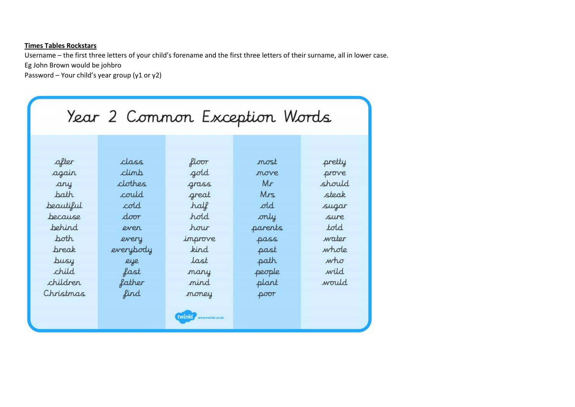#### **Times Tables Rockstars**

Username – the first three letters of your child's forename and the first three letters of their surname, all in lower case. Eg John Brown would be johbro

Password – Your child's year group (y1 or y2)

| Year 2 Common Exception Words |           |         |            |        |  |  |
|-------------------------------|-----------|---------|------------|--------|--|--|
|                               |           |         |            |        |  |  |
| after                         | class     | floor   | most       | pretty |  |  |
| again                         | climb     | gold    | move       | prove  |  |  |
| any                           | clothes   | grass   | Mr         | should |  |  |
| path                          | could     | great   | <b>Mrs</b> | steak  |  |  |
| beautiful                     | cold      | half    | old        | sugar  |  |  |
| because                       | door      | hold    | only       | sure   |  |  |
| <b>behind</b>                 | even      | hour    | parents    | told   |  |  |
| poth                          | every     | improve | pass       | water  |  |  |
| break                         | everybody | kind    | past       | whole  |  |  |
| busy                          | eye       | last    | path       | who    |  |  |
| child                         | fast      | many    | people     | wild   |  |  |
| children                      | father    | nind    | plant      | would  |  |  |
| Christmas                     | find      | money   | poor       |        |  |  |

**EWINKLY** www.twinkl.co.uk